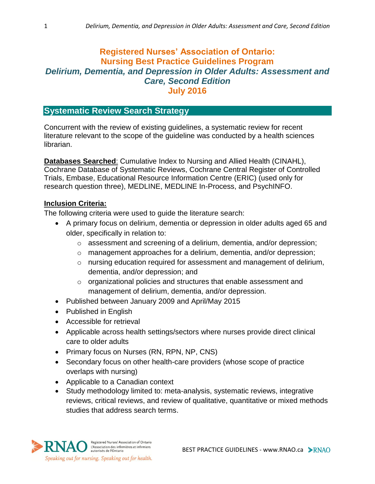# **Registered Nurses' Association of Ontario: Nursing Best Practice Guidelines Program** *Delirium, Dementia, and Depression in Older Adults: Assessment and Care, Second Edition* **July 2016**

# **Systematic Review Search Strategy**

Concurrent with the review of existing guidelines, a systematic review for recent literature relevant to the scope of the guideline was conducted by a health sciences librarian.

**Databases Searched**: Cumulative Index to Nursing and Allied Health (CINAHL), Cochrane Database of Systematic Reviews, Cochrane Central Register of Controlled Trials, Embase, Educational Resource Information Centre (ERIC) (used only for research question three), MEDLINE, MEDLINE In-Process, and PsychINFO.

### **Inclusion Criteria:**

The following criteria were used to guide the literature search:

- A primary focus on delirium, dementia or depression in older adults aged 65 and older, specifically in relation to:
	- o assessment and screening of a delirium, dementia, and/or depression;
	- o management approaches for a delirium, dementia, and/or depression;
	- o nursing education required for assessment and management of delirium, dementia, and/or depression; and
	- o organizational policies and structures that enable assessment and management of delirium, dementia, and/or depression.
- Published between January 2009 and April/May 2015
- Published in English
- Accessible for retrieval
- Applicable across health settings/sectors where nurses provide direct clinical care to older adults
- Primary focus on Nurses (RN, RPN, NP, CNS)
- Secondary focus on other health-care providers (whose scope of practice overlaps with nursing)
- Applicable to a Canadian context
- Study methodology limited to: meta-analysis, systematic reviews, integrative reviews, critical reviews, and review of qualitative, quantitative or mixed methods studies that address search terms.

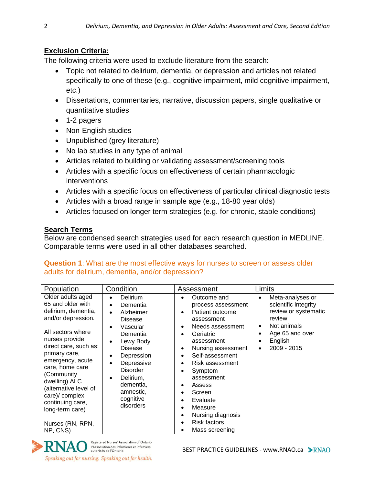## **Exclusion Criteria:**

The following criteria were used to exclude literature from the search:

- Topic not related to delirium, dementia, or depression and articles not related specifically to one of these (e.g., cognitive impairment, mild cognitive impairment, etc.)
- Dissertations, commentaries, narrative, discussion papers, single qualitative or quantitative studies
- 1-2 pagers
- Non-English studies
- Unpublished (grey literature)
- No lab studies in any type of animal
- Articles related to building or validating assessment/screening tools
- Articles with a specific focus on effectiveness of certain pharmacologic interventions
- Articles with a specific focus on effectiveness of particular clinical diagnostic tests
- Articles with a broad range in sample age (e.g., 18-80 year olds)
- Articles focused on longer term strategies (e.g. for chronic, stable conditions)

## **Search Terms**

Below are condensed search strategies used for each research question in MEDLINE. Comparable terms were used in all other databases searched.

#### **Question 1**: What are the most effective ways for nurses to screen or assess older adults for delirium, dementia, and/or depression?

| Population                                                                                                                                                                                                                                                                                                                                                   | Condition                                                                                                                                                                                                                                                                                                     | Assessment                                                                                                                                                                                                                                                                                                                                                                            | Limits                                                                                                                                                             |
|--------------------------------------------------------------------------------------------------------------------------------------------------------------------------------------------------------------------------------------------------------------------------------------------------------------------------------------------------------------|---------------------------------------------------------------------------------------------------------------------------------------------------------------------------------------------------------------------------------------------------------------------------------------------------------------|---------------------------------------------------------------------------------------------------------------------------------------------------------------------------------------------------------------------------------------------------------------------------------------------------------------------------------------------------------------------------------------|--------------------------------------------------------------------------------------------------------------------------------------------------------------------|
| Older adults aged<br>65 and older with<br>delirium, dementia,<br>and/or depression.<br>All sectors where<br>nurses provide<br>direct care, such as:<br>primary care,<br>emergency, acute<br>care, home care<br>(Community<br>dwelling) ALC<br>(alternative level of<br>care)/ complex<br>continuing care,<br>long-term care)<br>Nurses (RN, RPN,<br>NP, CNS) | Delirium<br>$\bullet$<br>Dementia<br>$\bullet$<br>Alzheimer<br>$\bullet$<br><b>Disease</b><br>Vascular<br>$\bullet$<br>Dementia<br>Lewy Body<br>٠<br><b>Disease</b><br>Depression<br>$\bullet$<br>Depressive<br><b>Disorder</b><br>Delirium,<br>$\bullet$<br>dementia,<br>amnestic,<br>cognitive<br>disorders | Outcome and<br>$\bullet$<br>process assessment<br>Patient outcome<br>assessment<br>Needs assessment<br>Geriatric<br>$\bullet$<br>assessment<br>Nursing assessment<br>$\bullet$<br>Self-assessment<br>Risk assessment<br>Symptom<br>assessment<br>Assess<br>Screen<br>Evaluate<br>Measure<br>$\bullet$<br>Nursing diagnosis<br>$\bullet$<br><b>Risk factors</b><br>٠<br>Mass screening | Meta-analyses or<br>$\bullet$<br>scientific integrity<br>review or systematic<br>review<br>Not animals<br>٠<br>Age 65 and over<br>٠<br>English<br>٠<br>2009 - 2015 |

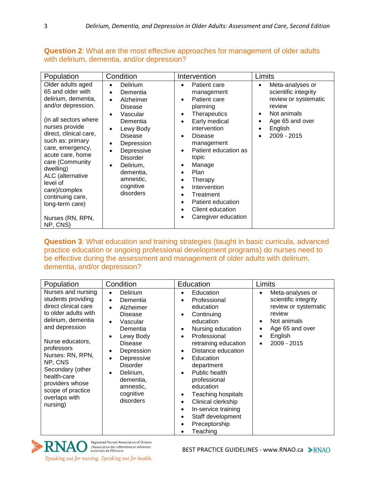**Question 2**: What are the most effective approaches for management of older adults with delirium, dementia, and/or depression?

| Population                                                                                                                                                                                                                                                                                                                                                                   | Condition                                                                                                                                                                                                                                          | Intervention                                                                                                                                                                                                                                                                                                                                                                        | Limits                                                                                                                                                   |
|------------------------------------------------------------------------------------------------------------------------------------------------------------------------------------------------------------------------------------------------------------------------------------------------------------------------------------------------------------------------------|----------------------------------------------------------------------------------------------------------------------------------------------------------------------------------------------------------------------------------------------------|-------------------------------------------------------------------------------------------------------------------------------------------------------------------------------------------------------------------------------------------------------------------------------------------------------------------------------------------------------------------------------------|----------------------------------------------------------------------------------------------------------------------------------------------------------|
| Older adults aged<br>65 and older with<br>delirium, dementia,<br>and/or depression.<br>(in all sectors where<br>nurses provide<br>direct, clinical care,<br>such as: primary<br>care, emergency,<br>acute care, home<br>care (Community<br>dwelling)<br>ALC (alternative<br>level of<br>care)/complex<br>continuing care,<br>long-term care)<br>Nurses (RN, RPN,<br>NP, CNS) | Delirium<br>Dementia<br>$\bullet$<br>Alzheimer<br>Disease<br>Vascular<br>$\bullet$<br>Dementia<br>Lewy Body<br><b>Disease</b><br>Depression<br>Depressive<br><b>Disorder</b><br>Delirium,<br>٠<br>dementia,<br>amnestic,<br>cognitive<br>disorders | Patient care<br>management<br>Patient care<br>planning<br><b>Therapeutics</b><br>٠<br>Early medical<br>intervention<br><b>Disease</b><br>management<br>Patient education as<br>topic<br>Manage<br>٠<br><b>Plan</b><br>$\bullet$<br>Therapy<br>$\bullet$<br>Intervention<br>$\bullet$<br>Treatment<br>Patient education<br>$\bullet$<br>Client education<br>Caregiver education<br>٠ | Meta-analyses or<br>$\bullet$<br>scientific integrity<br>review or systematic<br>review<br>Not animals<br>٠<br>Age 65 and over<br>English<br>2009 - 2015 |

**Question 3**: What education and training strategies (taught in basic curricula, advanced practice education or ongoing professional development programs) do nurses need to be effective during the assessment and management of older adults with delirium, dementia, and/or depression?

| Population                                                                                                                                                                                                                                                                                                | Condition                                                                                                                                                                                                                                                   | Education                                                                                                                                                                                                                                                                                                                                                                                                                                                                              | Limits                                                                                                                                                        |
|-----------------------------------------------------------------------------------------------------------------------------------------------------------------------------------------------------------------------------------------------------------------------------------------------------------|-------------------------------------------------------------------------------------------------------------------------------------------------------------------------------------------------------------------------------------------------------------|----------------------------------------------------------------------------------------------------------------------------------------------------------------------------------------------------------------------------------------------------------------------------------------------------------------------------------------------------------------------------------------------------------------------------------------------------------------------------------------|---------------------------------------------------------------------------------------------------------------------------------------------------------------|
| Nurses and nursing<br>students providing<br>direct clinical care<br>to older adults with<br>delirium, dementia<br>and depression<br>Nurse educators,<br>professors<br>Nurses: RN, RPN,<br>NP, CNS<br>Secondary (other<br>health-care<br>providers whose<br>scope of practice<br>overlaps with<br>nursing) | <b>Delirium</b><br>$\bullet$<br>Dementia<br>$\bullet$<br>Alzheimer<br><b>Disease</b><br>Vascular<br>Dementia<br>Lewy Body<br><b>Disease</b><br>Depression<br>Depressive<br><b>Disorder</b><br>Delirium,<br>dementia,<br>amnestic,<br>cognitive<br>disorders | Education<br>٠<br>Professional<br>$\bullet$<br>education<br>Continuing<br>$\bullet$<br>education<br>Nursing education<br>$\bullet$<br>Professional<br>$\bullet$<br>retraining education<br>Distance education<br>$\bullet$<br>Education<br>$\bullet$<br>department<br>Public health<br>$\bullet$<br>professional<br>education<br>Teaching hospitals<br>$\bullet$<br>Clinical clerkship<br>$\bullet$<br>In-service training<br>٠<br>Staff development<br>٠<br>Preceptorship<br>Teaching | Meta-analyses or<br>٠<br>scientific integrity<br>review or systematic<br>review<br>Not animals<br>$\bullet$<br>Age 65 and over<br>٠<br>English<br>2009 - 2015 |